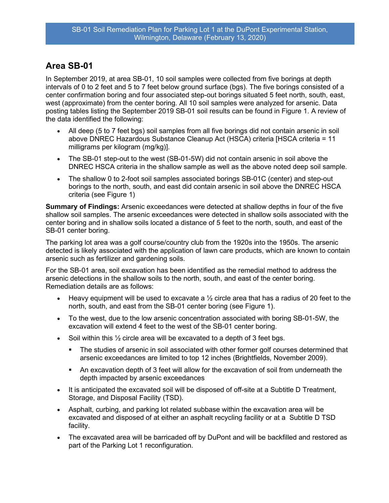## Area SB-01

In September 2019, at area SB-01, 10 soil samples were collected from five borings at depth intervals of 0 to 2 feet and 5 to 7 feet below ground surface (bgs). The five borings consisted of a center confirmation boring and four associated step-out borings situated 5 feet north, south, east, west (approximate) from the center boring. All 10 soil samples were analyzed for arsenic. Data posting tables listing the September 2019 SB-01 soil results can be found in Figure 1. A review of the data identified the following:

- All deep (5 to 7 feet bgs) soil samples from all five borings did not contain arsenic in soil above DNREC Hazardous Substance Cleanup Act (HSCA) criteria [HSCA criteria = 11 milligrams per kilogram (mg/kg)].
- The SB-01 step-out to the west (SB-01-5W) did not contain arsenic in soil above the DNREC HSCA criteria in the shallow sample as well as the above noted deep soil sample.
- The shallow 0 to 2-foot soil samples associated borings SB-01C (center) and step-out borings to the north, south, and east did contain arsenic in soil above the DNREC HSCA criteria (see Figure 1)

Summary of Findings: Arsenic exceedances were detected at shallow depths in four of the five shallow soil samples. The arsenic exceedances were detected in shallow soils associated with the center boring and in shallow soils located a distance of 5 feet to the north, south, and east of the SB-01 center boring.

The parking lot area was a golf course/country club from the 1920s into the 1950s. The arsenic detected is likely associated with the application of lawn care products, which are known to contain arsenic such as fertilizer and gardening soils.

For the SB-01 area, soil excavation has been identified as the remedial method to address the arsenic detections in the shallow soils to the north, south, and east of the center boring. Remediation details are as follows:

- Heavy equipment will be used to excavate a  $\frac{1}{2}$  circle area that has a radius of 20 feet to the north, south, and east from the SB-01 center boring (see Figure 1).
- To the west, due to the low arsenic concentration associated with boring SB-01-5W, the excavation will extend 4 feet to the west of the SB-01 center boring.
- Soil within this  $\frac{1}{2}$  circle area will be excavated to a depth of 3 feet bgs.
	- The studies of arsenic in soil associated with other former golf courses determined that arsenic exceedances are limited to top 12 inches (Brightfields, November 2009).
	- An excavation depth of 3 feet will allow for the excavation of soil from underneath the depth impacted by arsenic exceedances
- It is anticipated the excavated soil will be disposed of off-site at a Subtitle D Treatment, Storage, and Disposal Facility (TSD).
- Asphalt, curbing, and parking lot related subbase within the excavation area will be excavated and disposed of at either an asphalt recycling facility or at a Subtitle D TSD facility.
- The excavated area will be barricaded off by DuPont and will be backfilled and restored as part of the Parking Lot 1 reconfiguration.